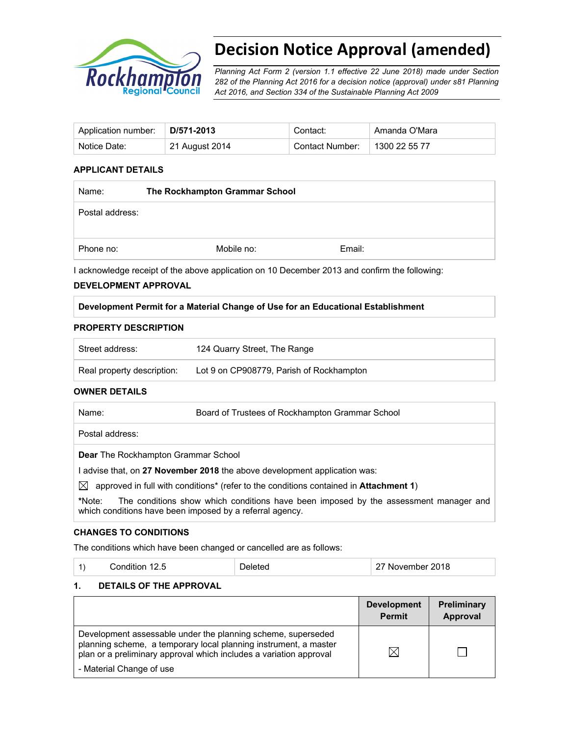

# **Decision Notice Approval (amended)**

*Planning Act Form 2 (version 1.1 effective 22 June 2018) made under Section 282 of the Planning Act 2016 for a decision notice (approval) under s81 Planning Act 2016, and Section 334 of the Sustainable Planning Act 2009*

| Application number: | D/571-2013     | Contact:        | Amanda O'Mara |
|---------------------|----------------|-----------------|---------------|
| Notice Date:        | 21 August 2014 | Contact Number: | 1300 22 55 77 |

# **APPLICANT DETAILS**

| Name:           | The Rockhampton Grammar School |        |  |
|-----------------|--------------------------------|--------|--|
| Postal address: |                                |        |  |
|                 |                                |        |  |
| Phone no:       | Mobile no:                     | Email: |  |

I acknowledge receipt of the above application on 10 December 2013 and confirm the following:

### **DEVELOPMENT APPROVAL**

**Development Permit for a Material Change of Use for an Educational Establishment** 

#### **PROPERTY DESCRIPTION**

| Street address:            | 124 Quarry Street, The Range             |
|----------------------------|------------------------------------------|
| Real property description: | Lot 9 on CP908779, Parish of Rockhampton |

#### **OWNER DETAILS**

| Board of Trustees of Rockhampton Grammar School<br>Name: |  |
|----------------------------------------------------------|--|
|----------------------------------------------------------|--|

Postal address:

**Dear** The Rockhampton Grammar School

I advise that, on **27 November 2018** the above development application was:

 $\boxtimes$  approved in full with conditions<sup>\*</sup> (refer to the conditions contained in **Attachment 1**)

**\***Note:The conditions show which conditions have been imposed by the assessment manager and which conditions have been imposed by a referral agency.

### **CHANGES TO CONDITIONS**

The conditions which have been changed or cancelled are as follows:

| Condition 12.5 | Deleted | 27 November 2018 |
|----------------|---------|------------------|
|----------------|---------|------------------|

### **1. DETAILS OF THE APPROVAL**

|                                                                                                                                                                                                                                    | <b>Development</b><br><b>Permit</b> | Preliminary<br>Approval |
|------------------------------------------------------------------------------------------------------------------------------------------------------------------------------------------------------------------------------------|-------------------------------------|-------------------------|
| Development assessable under the planning scheme, superseded<br>planning scheme, a temporary local planning instrument, a master<br>plan or a preliminary approval which includes a variation approval<br>- Material Change of use | $\boxtimes$                         |                         |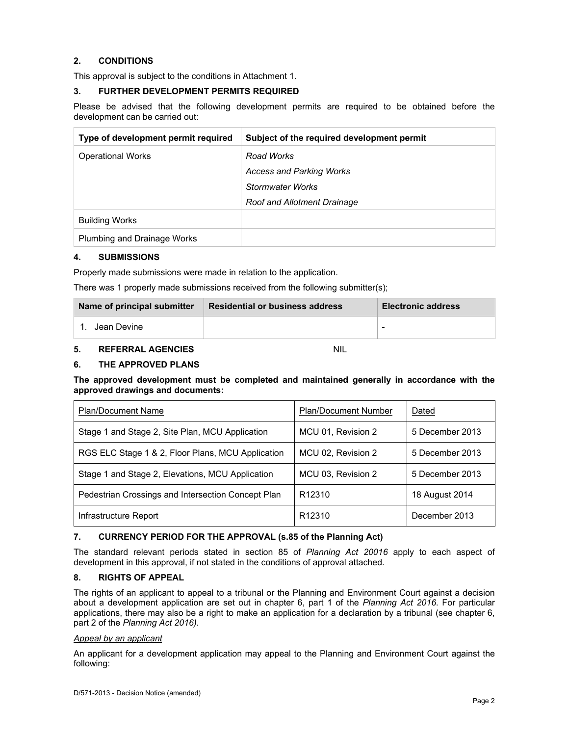# **2. CONDITIONS**

This approval is subject to the conditions in Attachment 1.

#### **3. FURTHER DEVELOPMENT PERMITS REQUIRED**

Please be advised that the following development permits are required to be obtained before the development can be carried out:

| Type of development permit required | Subject of the required development permit |
|-------------------------------------|--------------------------------------------|
| <b>Operational Works</b>            | Road Works                                 |
|                                     | <b>Access and Parking Works</b>            |
|                                     | Stormwater Works                           |
|                                     | Roof and Allotment Drainage                |
| <b>Building Works</b>               |                                            |
| Plumbing and Drainage Works         |                                            |

#### **4. SUBMISSIONS**

Properly made submissions were made in relation to the application.

There was 1 properly made submissions received from the following submitter(s);

| Name of principal submitter | <b>Residential or business address</b> | <b>Electronic address</b> |
|-----------------------------|----------------------------------------|---------------------------|
| Jean Devine                 |                                        | -                         |

#### **5. REFERRAL AGENCIES** NIL

### **6. THE APPROVED PLANS**

**The approved development must be completed and maintained generally in accordance with the approved drawings and documents:** 

| <b>Plan/Document Name</b>                          | <b>Plan/Document Number</b> | Dated           |
|----------------------------------------------------|-----------------------------|-----------------|
| Stage 1 and Stage 2, Site Plan, MCU Application    | MCU 01, Revision 2          | 5 December 2013 |
| RGS ELC Stage 1 & 2, Floor Plans, MCU Application  | MCU 02, Revision 2          | 5 December 2013 |
| Stage 1 and Stage 2, Elevations, MCU Application   | MCU 03, Revision 2          | 5 December 2013 |
| Pedestrian Crossings and Intersection Concept Plan | R <sub>12310</sub>          | 18 August 2014  |
| Infrastructure Report                              | R <sub>12310</sub>          | December 2013   |

### **7. CURRENCY PERIOD FOR THE APPROVAL (s.85 of the Planning Act)**

The standard relevant periods stated in section 85 of *Planning Act 20016* apply to each aspect of development in this approval, if not stated in the conditions of approval attached.

#### **8. RIGHTS OF APPEAL**

The rights of an applicant to appeal to a tribunal or the Planning and Environment Court against a decision about a development application are set out in chapter 6, part 1 of the *Planning Act 2016*. For particular applications, there may also be a right to make an application for a declaration by a tribunal (see chapter 6, part 2 of the *Planning Act 2016).* 

#### *Appeal by an applicant*

An applicant for a development application may appeal to the Planning and Environment Court against the following: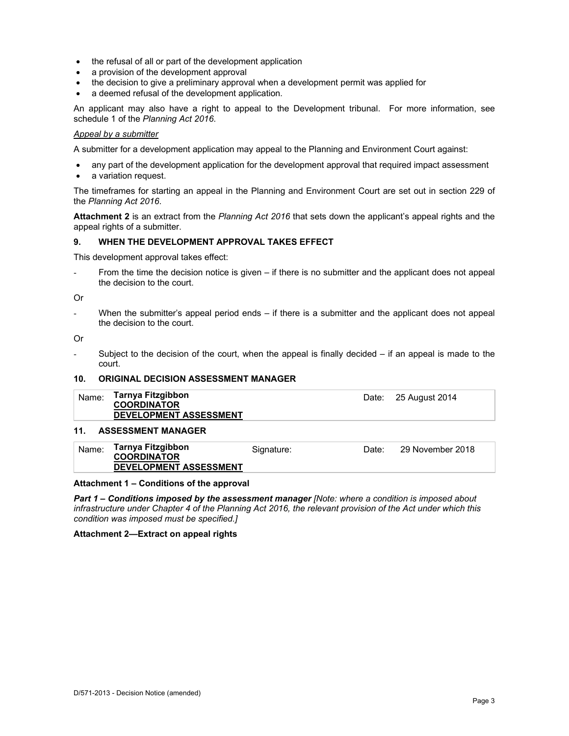- the refusal of all or part of the development application
- a provision of the development approval
- the decision to give a preliminary approval when a development permit was applied for
- a deemed refusal of the development application.

An applicant may also have a right to appeal to the Development tribunal. For more information, see schedule 1 of the *Planning Act 2016*.

#### *Appeal by a submitter*

A submitter for a development application may appeal to the Planning and Environment Court against:

- any part of the development application for the development approval that required impact assessment
- a variation request.

The timeframes for starting an appeal in the Planning and Environment Court are set out in section 229 of the *Planning Act 2016*.

**Attachment 2** is an extract from the *Planning Act 2016* that sets down the applicant's appeal rights and the appeal rights of a submitter.

#### **9. WHEN THE DEVELOPMENT APPROVAL TAKES EFFECT**

This development approval takes effect:

From the time the decision notice is given – if there is no submitter and the applicant does not appeal the decision to the court.

#### Or

When the submitter's appeal period ends  $-$  if there is a submitter and the applicant does not appeal the decision to the court.

Or

Subject to the decision of the court, when the appeal is finally decided  $-$  if an appeal is made to the court.

# **10. ORIGINAL DECISION ASSESSMENT MANAGER**

| Name: | Tarnya Fitzgibbon<br><b>COORDINATOR</b><br><b>DEVELOPMENT ASSESSMENT</b> | Date: 25 August 2014 |
|-------|--------------------------------------------------------------------------|----------------------|
|       |                                                                          |                      |

# **11. ASSESSMENT MANAGER**

| Name: | Tarnya Fitzgibbon<br><b>COORDINATOR</b><br><b>DEVELOPMENT ASSESSMENT</b> | Signature: | Date: | 29 November 2018 |
|-------|--------------------------------------------------------------------------|------------|-------|------------------|
|       |                                                                          |            |       |                  |

#### **Attachment 1 – Conditions of the approval**

*Part 1* **–** *Conditions imposed by the assessment manager [Note: where a condition is imposed about infrastructure under Chapter 4 of the Planning Act 2016, the relevant provision of the Act under which this condition was imposed must be specified.]*

#### **Attachment 2—Extract on appeal rights**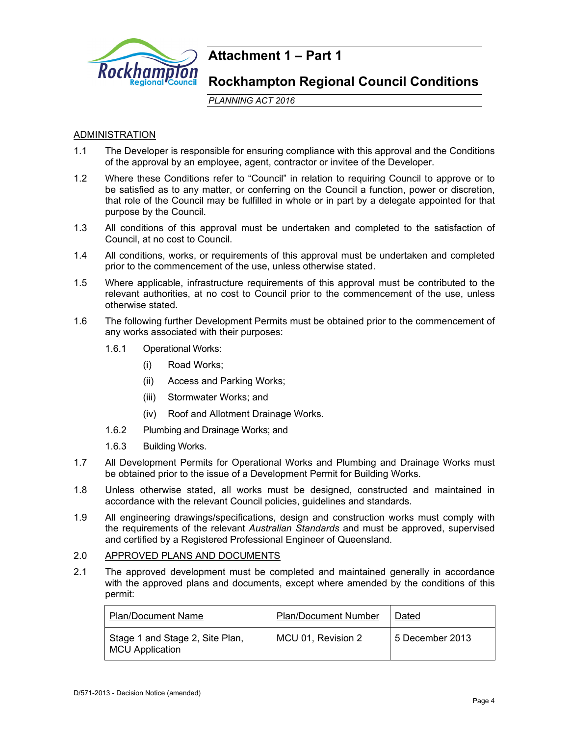

# **Attachment 1 – Part 1**

# **Rockhampton Regional Council Conditions**

*PLANNING ACT 2016*

# ADMINISTRATION

- 1.1 The Developer is responsible for ensuring compliance with this approval and the Conditions of the approval by an employee, agent, contractor or invitee of the Developer.
- 1.2 Where these Conditions refer to "Council" in relation to requiring Council to approve or to be satisfied as to any matter, or conferring on the Council a function, power or discretion, that role of the Council may be fulfilled in whole or in part by a delegate appointed for that purpose by the Council.
- 1.3 All conditions of this approval must be undertaken and completed to the satisfaction of Council, at no cost to Council.
- 1.4 All conditions, works, or requirements of this approval must be undertaken and completed prior to the commencement of the use, unless otherwise stated.
- 1.5 Where applicable, infrastructure requirements of this approval must be contributed to the relevant authorities, at no cost to Council prior to the commencement of the use, unless otherwise stated.
- 1.6 The following further Development Permits must be obtained prior to the commencement of any works associated with their purposes:
	- 1.6.1 Operational Works:
		- (i) Road Works;
		- (ii) Access and Parking Works;
		- (iii) Stormwater Works; and
		- (iv) Roof and Allotment Drainage Works.
	- 1.6.2 Plumbing and Drainage Works; and
	- 1.6.3 Building Works.
- 1.7 All Development Permits for Operational Works and Plumbing and Drainage Works must be obtained prior to the issue of a Development Permit for Building Works.
- 1.8 Unless otherwise stated, all works must be designed, constructed and maintained in accordance with the relevant Council policies, guidelines and standards.
- 1.9 All engineering drawings/specifications, design and construction works must comply with the requirements of the relevant *Australian Standards* and must be approved, supervised and certified by a Registered Professional Engineer of Queensland.

### 2.0 APPROVED PLANS AND DOCUMENTS

2.1 The approved development must be completed and maintained generally in accordance with the approved plans and documents, except where amended by the conditions of this permit:

| <b>Plan/Document Name</b>                                 | <b>Plan/Document Number</b> | Dated             |
|-----------------------------------------------------------|-----------------------------|-------------------|
| Stage 1 and Stage 2, Site Plan,<br><b>MCU Application</b> | MCU 01, Revision 2          | l 5 December 2013 |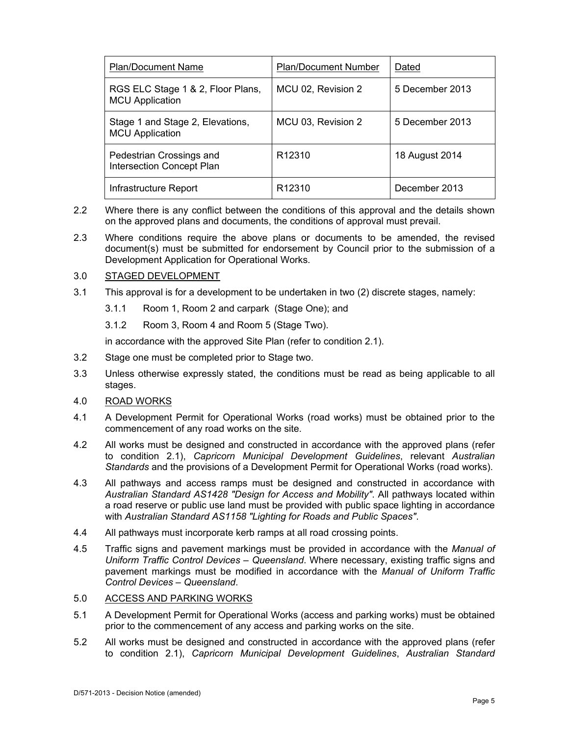| <b>Plan/Document Name</b>                                    | <b>Plan/Document Number</b> | Dated           |
|--------------------------------------------------------------|-----------------------------|-----------------|
| RGS ELC Stage 1 & 2, Floor Plans,<br><b>MCU Application</b>  | MCU 02, Revision 2          | 5 December 2013 |
| Stage 1 and Stage 2, Elevations,<br><b>MCU Application</b>   | MCU 03, Revision 2          | 5 December 2013 |
| Pedestrian Crossings and<br><b>Intersection Concept Plan</b> | R <sub>12310</sub>          | 18 August 2014  |
| Infrastructure Report                                        | R <sub>12310</sub>          | December 2013   |

- 2.2 Where there is any conflict between the conditions of this approval and the details shown on the approved plans and documents, the conditions of approval must prevail.
- 2.3 Where conditions require the above plans or documents to be amended, the revised document(s) must be submitted for endorsement by Council prior to the submission of a Development Application for Operational Works.

# 3.0 STAGED DEVELOPMENT

- 3.1 This approval is for a development to be undertaken in two (2) discrete stages, namely:
	- 3.1.1 Room 1, Room 2 and carpark (Stage One); and
	- 3.1.2 Room 3, Room 4 and Room 5 (Stage Two).

in accordance with the approved Site Plan (refer to condition 2.1).

- 3.2 Stage one must be completed prior to Stage two.
- 3.3 Unless otherwise expressly stated, the conditions must be read as being applicable to all stages.
- 4.0 ROAD WORKS
- 4.1 A Development Permit for Operational Works (road works) must be obtained prior to the commencement of any road works on the site.
- 4.2 All works must be designed and constructed in accordance with the approved plans (refer to condition 2.1), *Capricorn Municipal Development Guidelines*, relevant *Australian Standards* and the provisions of a Development Permit for Operational Works (road works).
- 4.3 All pathways and access ramps must be designed and constructed in accordance with *Australian Standard AS1428 "Design for Access and Mobility"*. All pathways located within a road reserve or public use land must be provided with public space lighting in accordance with *Australian Standard AS1158 "Lighting for Roads and Public Spaces"*.
- 4.4 All pathways must incorporate kerb ramps at all road crossing points.
- 4.5 Traffic signs and pavement markings must be provided in accordance with the *Manual of Uniform Traffic Control Devices – Queensland*. Where necessary, existing traffic signs and pavement markings must be modified in accordance with the *Manual of Uniform Traffic Control Devices – Queensland*.

# 5.0 ACCESS AND PARKING WORKS

- 5.1 A Development Permit for Operational Works (access and parking works) must be obtained prior to the commencement of any access and parking works on the site.
- 5.2 All works must be designed and constructed in accordance with the approved plans (refer to condition 2.1), *Capricorn Municipal Development Guidelines*, *Australian Standard*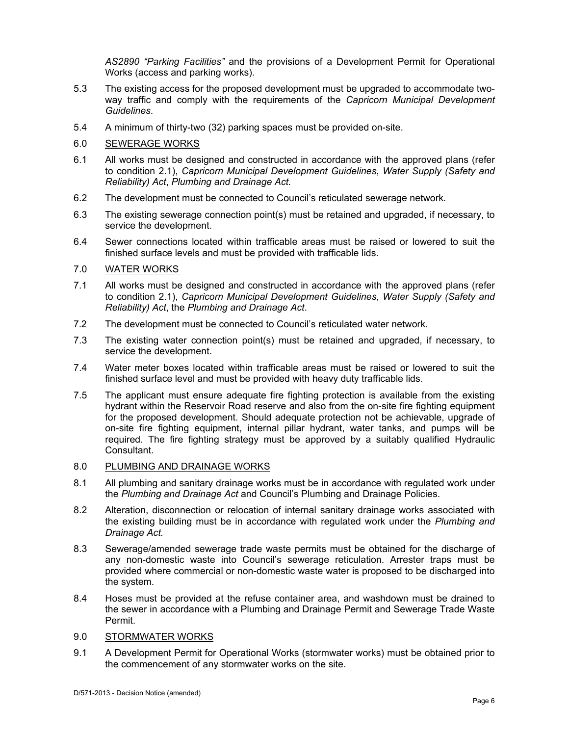*AS2890 "Parking Facilities"* and the provisions of a Development Permit for Operational Works (access and parking works).

- 5.3 The existing access for the proposed development must be upgraded to accommodate twoway traffic and comply with the requirements of the *Capricorn Municipal Development Guidelines*.
- 5.4 A minimum of thirty-two (32) parking spaces must be provided on-site.

### 6.0 SEWERAGE WORKS

- 6.1 All works must be designed and constructed in accordance with the approved plans (refer to condition 2.1), *Capricorn Municipal Development Guidelines*, *Water Supply (Safety and Reliability) Act*, *Plumbing and Drainage Act.*
- 6.2 The development must be connected to Council's reticulated sewerage network*.*
- 6.3 The existing sewerage connection point(s) must be retained and upgraded, if necessary, to service the development.
- 6.4 Sewer connections located within trafficable areas must be raised or lowered to suit the finished surface levels and must be provided with trafficable lids.

#### 7.0 WATER WORKS

- 7.1 All works must be designed and constructed in accordance with the approved plans (refer to condition 2.1), *Capricorn Municipal Development Guidelines*, *Water Supply (Safety and Reliability) Act*, the *Plumbing and Drainage Act*.
- 7.2 The development must be connected to Council's reticulated water network*.*
- 7.3 The existing water connection point(s) must be retained and upgraded, if necessary, to service the development.
- 7.4 Water meter boxes located within trafficable areas must be raised or lowered to suit the finished surface level and must be provided with heavy duty trafficable lids.
- 7.5 The applicant must ensure adequate fire fighting protection is available from the existing hydrant within the Reservoir Road reserve and also from the on-site fire fighting equipment for the proposed development. Should adequate protection not be achievable, upgrade of on-site fire fighting equipment, internal pillar hydrant, water tanks, and pumps will be required. The fire fighting strategy must be approved by a suitably qualified Hydraulic Consultant.

#### 8.0 PLUMBING AND DRAINAGE WORKS

- 8.1 All plumbing and sanitary drainage works must be in accordance with regulated work under the *Plumbing and Drainage Act* and Council's Plumbing and Drainage Policies.
- 8.2 Alteration, disconnection or relocation of internal sanitary drainage works associated with the existing building must be in accordance with regulated work under the *Plumbing and Drainage Act.*
- 8.3 Sewerage/amended sewerage trade waste permits must be obtained for the discharge of any non-domestic waste into Council's sewerage reticulation. Arrester traps must be provided where commercial or non-domestic waste water is proposed to be discharged into the system.
- 8.4 Hoses must be provided at the refuse container area, and washdown must be drained to the sewer in accordance with a Plumbing and Drainage Permit and Sewerage Trade Waste Permit.
- 9.0 STORMWATER WORKS
- 9.1 A Development Permit for Operational Works (stormwater works) must be obtained prior to the commencement of any stormwater works on the site.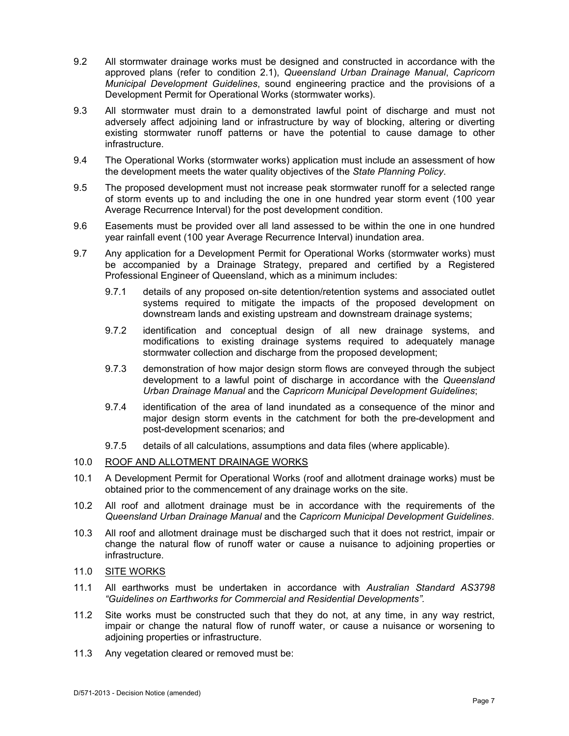- 9.2 All stormwater drainage works must be designed and constructed in accordance with the approved plans (refer to condition 2.1), *Queensland Urban Drainage Manual*, *Capricorn Municipal Development Guidelines*, sound engineering practice and the provisions of a Development Permit for Operational Works (stormwater works).
- 9.3 All stormwater must drain to a demonstrated lawful point of discharge and must not adversely affect adjoining land or infrastructure by way of blocking, altering or diverting existing stormwater runoff patterns or have the potential to cause damage to other infrastructure.
- 9.4 The Operational Works (stormwater works) application must include an assessment of how the development meets the water quality objectives of the *State Planning Policy*.
- 9.5 The proposed development must not increase peak stormwater runoff for a selected range of storm events up to and including the one in one hundred year storm event (100 year Average Recurrence Interval) for the post development condition.
- 9.6 Easements must be provided over all land assessed to be within the one in one hundred year rainfall event (100 year Average Recurrence Interval) inundation area.
- 9.7 Any application for a Development Permit for Operational Works (stormwater works) must be accompanied by a Drainage Strategy, prepared and certified by a Registered Professional Engineer of Queensland, which as a minimum includes:
	- 9.7.1 details of any proposed on-site detention/retention systems and associated outlet systems required to mitigate the impacts of the proposed development on downstream lands and existing upstream and downstream drainage systems;
	- 9.7.2 identification and conceptual design of all new drainage systems, and modifications to existing drainage systems required to adequately manage stormwater collection and discharge from the proposed development;
	- 9.7.3 demonstration of how major design storm flows are conveyed through the subject development to a lawful point of discharge in accordance with the *Queensland Urban Drainage Manual* and the *Capricorn Municipal Development Guidelines*;
	- 9.7.4 identification of the area of land inundated as a consequence of the minor and major design storm events in the catchment for both the pre-development and post-development scenarios; and
	- 9.7.5 details of all calculations, assumptions and data files (where applicable).
- 10.0 ROOF AND ALLOTMENT DRAINAGE WORKS
- 10.1 A Development Permit for Operational Works (roof and allotment drainage works) must be obtained prior to the commencement of any drainage works on the site.
- 10.2 All roof and allotment drainage must be in accordance with the requirements of the *Queensland Urban Drainage Manual* and the *Capricorn Municipal Development Guidelines*.
- 10.3 All roof and allotment drainage must be discharged such that it does not restrict, impair or change the natural flow of runoff water or cause a nuisance to adjoining properties or infrastructure.
- 11.0 SITE WORKS
- 11.1 All earthworks must be undertaken in accordance with *Australian Standard AS3798 "Guidelines on Earthworks for Commercial and Residential Developments".*
- 11.2 Site works must be constructed such that they do not, at any time, in any way restrict, impair or change the natural flow of runoff water, or cause a nuisance or worsening to adjoining properties or infrastructure.
- 11.3 Any vegetation cleared or removed must be: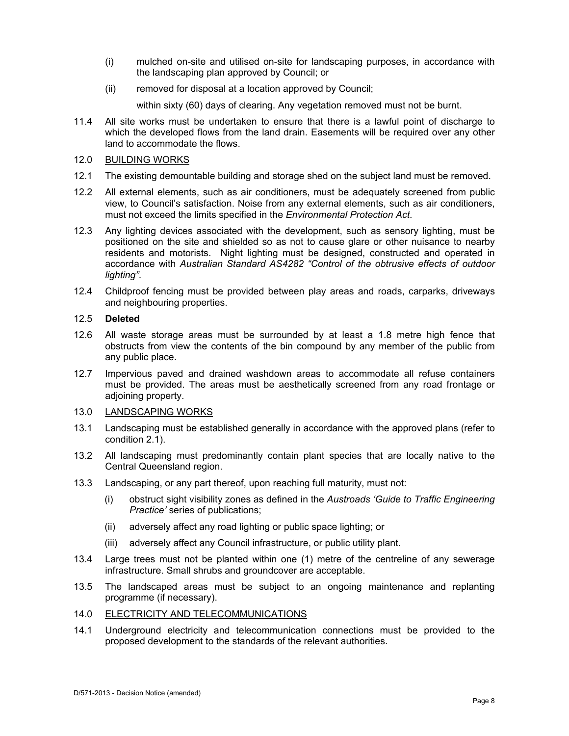- (i) mulched on-site and utilised on-site for landscaping purposes, in accordance with the landscaping plan approved by Council; or
- (ii) removed for disposal at a location approved by Council;

within sixty (60) days of clearing. Any vegetation removed must not be burnt.

- 11.4 All site works must be undertaken to ensure that there is a lawful point of discharge to which the developed flows from the land drain. Easements will be required over any other land to accommodate the flows.
- 12.0 BUILDING WORKS
- 12.1 The existing demountable building and storage shed on the subject land must be removed.
- 12.2 All external elements, such as air conditioners, must be adequately screened from public view, to Council's satisfaction. Noise from any external elements, such as air conditioners, must not exceed the limits specified in the *Environmental Protection Act*.
- 12.3 Any lighting devices associated with the development, such as sensory lighting, must be positioned on the site and shielded so as not to cause glare or other nuisance to nearby residents and motorists. Night lighting must be designed, constructed and operated in accordance with *Australian Standard AS4282 "Control of the obtrusive effects of outdoor lighting"*.
- 12.4 Childproof fencing must be provided between play areas and roads, carparks, driveways and neighbouring properties.

## 12.5 **Deleted**

- 12.6 All waste storage areas must be surrounded by at least a 1.8 metre high fence that obstructs from view the contents of the bin compound by any member of the public from any public place.
- 12.7 Impervious paved and drained washdown areas to accommodate all refuse containers must be provided. The areas must be aesthetically screened from any road frontage or adjoining property.
- 13.0 LANDSCAPING WORKS
- 13.1 Landscaping must be established generally in accordance with the approved plans (refer to condition 2.1).
- 13.2 All landscaping must predominantly contain plant species that are locally native to the Central Queensland region.
- 13.3 Landscaping, or any part thereof, upon reaching full maturity, must not:
	- (i) obstruct sight visibility zones as defined in the *Austroads 'Guide to Traffic Engineering Practice'* series of publications;
	- (ii) adversely affect any road lighting or public space lighting; or
	- (iii) adversely affect any Council infrastructure, or public utility plant.
- 13.4 Large trees must not be planted within one (1) metre of the centreline of any sewerage infrastructure. Small shrubs and groundcover are acceptable.
- 13.5 The landscaped areas must be subject to an ongoing maintenance and replanting programme (if necessary).
- 14.0 ELECTRICITY AND TELECOMMUNICATIONS
- 14.1 Underground electricity and telecommunication connections must be provided to the proposed development to the standards of the relevant authorities.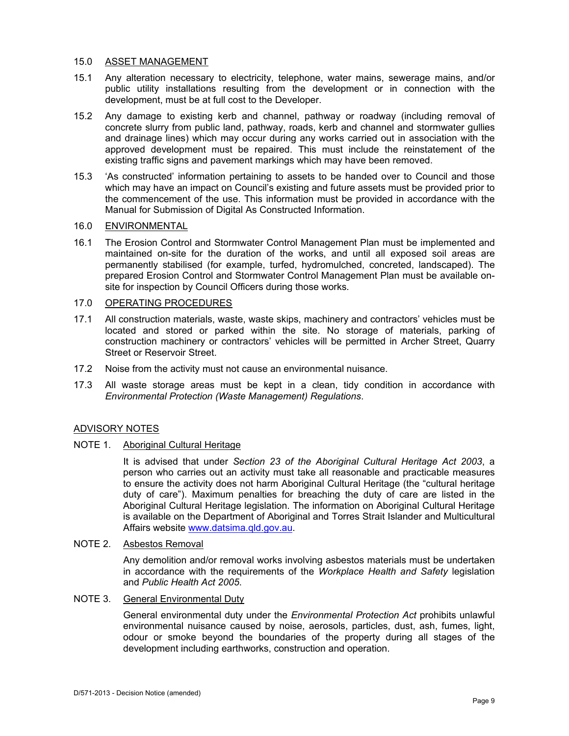### 15.0 ASSET MANAGEMENT

- 15.1 Any alteration necessary to electricity, telephone, water mains, sewerage mains, and/or public utility installations resulting from the development or in connection with the development, must be at full cost to the Developer.
- 15.2 Any damage to existing kerb and channel, pathway or roadway (including removal of concrete slurry from public land, pathway, roads, kerb and channel and stormwater gullies and drainage lines) which may occur during any works carried out in association with the approved development must be repaired. This must include the reinstatement of the existing traffic signs and pavement markings which may have been removed.
- 15.3 'As constructed' information pertaining to assets to be handed over to Council and those which may have an impact on Council's existing and future assets must be provided prior to the commencement of the use. This information must be provided in accordance with the Manual for Submission of Digital As Constructed Information.

# 16.0 ENVIRONMENTAL

16.1 The Erosion Control and Stormwater Control Management Plan must be implemented and maintained on-site for the duration of the works, and until all exposed soil areas are permanently stabilised (for example, turfed, hydromulched, concreted, landscaped). The prepared Erosion Control and Stormwater Control Management Plan must be available onsite for inspection by Council Officers during those works.

# 17.0 OPERATING PROCEDURES

- 17.1 All construction materials, waste, waste skips, machinery and contractors' vehicles must be located and stored or parked within the site. No storage of materials, parking of construction machinery or contractors' vehicles will be permitted in Archer Street, Quarry Street or Reservoir Street.
- 17.2 Noise from the activity must not cause an environmental nuisance.
- 17.3 All waste storage areas must be kept in a clean, tidy condition in accordance with *Environmental Protection (Waste Management) Regulations*.

# ADVISORY NOTES

### NOTE 1. Aboriginal Cultural Heritage

It is advised that under *Section 23 of the Aboriginal Cultural Heritage Act 2003*, a person who carries out an activity must take all reasonable and practicable measures to ensure the activity does not harm Aboriginal Cultural Heritage (the "cultural heritage duty of care"). Maximum penalties for breaching the duty of care are listed in the Aboriginal Cultural Heritage legislation. The information on Aboriginal Cultural Heritage is available on the Department of Aboriginal and Torres Strait Islander and Multicultural Affairs website www.datsima.qld.gov.au.

### NOTE 2. Asbestos Removal

Any demolition and/or removal works involving asbestos materials must be undertaken in accordance with the requirements of the *Workplace Health and Safety* legislation and *Public Health Act 2005*.

### NOTE 3. General Environmental Duty

General environmental duty under the *Environmental Protection Act* prohibits unlawful environmental nuisance caused by noise, aerosols, particles, dust, ash, fumes, light, odour or smoke beyond the boundaries of the property during all stages of the development including earthworks, construction and operation.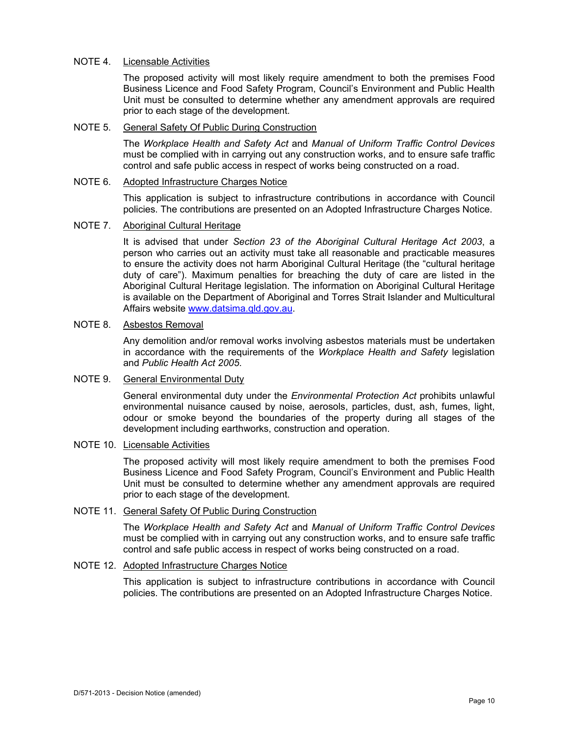## NOTE 4. Licensable Activities

The proposed activity will most likely require amendment to both the premises Food Business Licence and Food Safety Program, Council's Environment and Public Health Unit must be consulted to determine whether any amendment approvals are required prior to each stage of the development.

# NOTE 5. General Safety Of Public During Construction

The *Workplace Health and Safety Act* and *Manual of Uniform Traffic Control Devices* must be complied with in carrying out any construction works, and to ensure safe traffic control and safe public access in respect of works being constructed on a road.

## NOTE 6. Adopted Infrastructure Charges Notice

This application is subject to infrastructure contributions in accordance with Council policies. The contributions are presented on an Adopted Infrastructure Charges Notice.

### NOTE 7. Aboriginal Cultural Heritage

It is advised that under *Section 23 of the Aboriginal Cultural Heritage Act 2003*, a person who carries out an activity must take all reasonable and practicable measures to ensure the activity does not harm Aboriginal Cultural Heritage (the "cultural heritage duty of care"). Maximum penalties for breaching the duty of care are listed in the Aboriginal Cultural Heritage legislation. The information on Aboriginal Cultural Heritage is available on the Department of Aboriginal and Torres Strait Islander and Multicultural Affairs website www.datsima.qld.gov.au.

## NOTE 8. Asbestos Removal

Any demolition and/or removal works involving asbestos materials must be undertaken in accordance with the requirements of the *Workplace Health and Safety* legislation and *Public Health Act 2005*.

# NOTE 9. General Environmental Duty

General environmental duty under the *Environmental Protection Act* prohibits unlawful environmental nuisance caused by noise, aerosols, particles, dust, ash, fumes, light, odour or smoke beyond the boundaries of the property during all stages of the development including earthworks, construction and operation.

# NOTE 10. Licensable Activities

The proposed activity will most likely require amendment to both the premises Food Business Licence and Food Safety Program, Council's Environment and Public Health Unit must be consulted to determine whether any amendment approvals are required prior to each stage of the development.

# NOTE 11. General Safety Of Public During Construction

The *Workplace Health and Safety Act* and *Manual of Uniform Traffic Control Devices* must be complied with in carrying out any construction works, and to ensure safe traffic control and safe public access in respect of works being constructed on a road.

# NOTE 12. Adopted Infrastructure Charges Notice

This application is subject to infrastructure contributions in accordance with Council policies. The contributions are presented on an Adopted Infrastructure Charges Notice.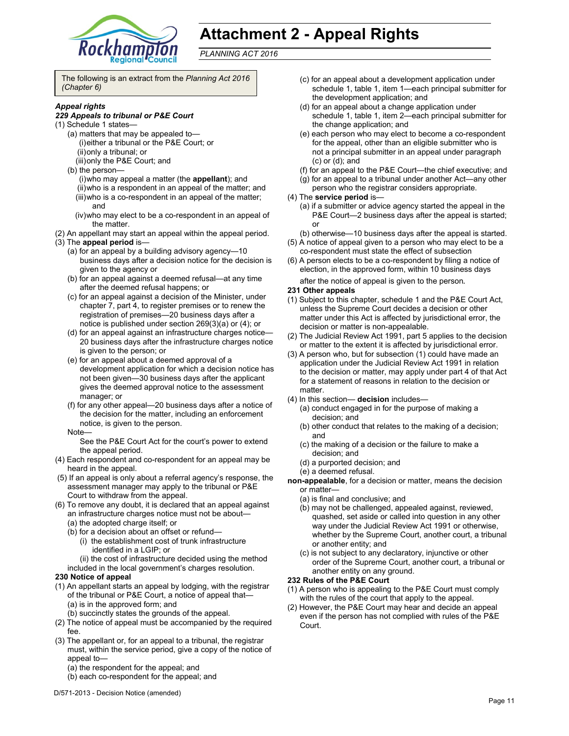

# **Attachment 2 - Appeal Rights**

*PLANNING ACT 2016*

The following is an extract from the *Planning Act 2016 (Chapter 6)* 

#### *Appeal rights*

#### *229 Appeals to tribunal or P&E Court*

- (1) Schedule 1 states—
	- (a) matters that may be appealed to— (i) either a tribunal or the P&E Court; or (ii) only a tribunal; or
		- (iii) only the P&E Court; and
	- (b) the person—
		- (i) who may appeal a matter (the **appellant**); and (ii) who is a respondent in an appeal of the matter; and (iii) who is a co-respondent in an appeal of the matter; and
		- (iv) who may elect to be a co-respondent in an appeal of the matter.
- (2) An appellant may start an appeal within the appeal period.
- (3) The **appeal period** is—
	- (a) for an appeal by a building advisory agency—10 business days after a decision notice for the decision is given to the agency or
	- (b) for an appeal against a deemed refusal—at any time after the deemed refusal happens; or
	- (c) for an appeal against a decision of the Minister, under chapter 7, part 4, to register premises or to renew the registration of premises—20 business days after a notice is published under section 269(3)(a) or (4); or
	- (d) for an appeal against an infrastructure charges notice— 20 business days after the infrastructure charges notice is given to the person; or
	- (e) for an appeal about a deemed approval of a development application for which a decision notice has not been given—30 business days after the applicant gives the deemed approval notice to the assessment manager; or
	- (f) for any other appeal—20 business days after a notice of the decision for the matter, including an enforcement notice, is given to the person.
	- Note—
		- See the P&E Court Act for the court's power to extend the appeal period.
- (4) Each respondent and co-respondent for an appeal may be heard in the appeal.
- (5) If an appeal is only about a referral agency's response, the assessment manager may apply to the tribunal or P&E Court to withdraw from the appeal.
- (6) To remove any doubt, it is declared that an appeal against an infrastructure charges notice must not be about—
	- (a) the adopted charge itself; or
	- (b) for a decision about an offset or refund—
		- (i) the establishment cost of trunk infrastructure identified in a LGIP; or
	- (ii) the cost of infrastructure decided using the method included in the local government's charges resolution.

#### **230 Notice of appeal**

- (1) An appellant starts an appeal by lodging, with the registrar of the tribunal or P&E Court, a notice of appeal that— (a) is in the approved form; and
	- (b) succinctly states the grounds of the appeal.
- (2) The notice of appeal must be accompanied by the required fee.
- (3) The appellant or, for an appeal to a tribunal, the registrar must, within the service period, give a copy of the notice of appeal to—
	- (a) the respondent for the appeal; and
	- (b) each co-respondent for the appeal; and
- (c) for an appeal about a development application under schedule 1, table 1, item 1—each principal submitter for the development application; and
- (d) for an appeal about a change application under schedule 1, table 1, item 2—each principal submitter for the change application; and
- (e) each person who may elect to become a co-respondent for the appeal, other than an eligible submitter who is not a principal submitter in an appeal under paragraph (c) or (d); and
- (f) for an appeal to the P&E Court—the chief executive; and
- (g) for an appeal to a tribunal under another Act—any other
- person who the registrar considers appropriate.
- (4) The **service period** is—
	- (a) if a submitter or advice agency started the appeal in the P&E Court—2 business days after the appeal is started; or
	- (b) otherwise—10 business days after the appeal is started.
- (5) A notice of appeal given to a person who may elect to be a co-respondent must state the effect of subsection
- (6) A person elects to be a co-respondent by filing a notice of election, in the approved form, within 10 business days after the notice of appeal is given to the person*.*

#### **231 Other appeals**

- (1) Subject to this chapter, schedule 1 and the P&E Court Act, unless the Supreme Court decides a decision or other matter under this Act is affected by jurisdictional error, the decision or matter is non-appealable.
- (2) The Judicial Review Act 1991, part 5 applies to the decision or matter to the extent it is affected by jurisdictional error.
- (3) A person who, but for subsection (1) could have made an application under the Judicial Review Act 1991 in relation to the decision or matter, may apply under part 4 of that Act for a statement of reasons in relation to the decision or matter.
- (4) In this section— **decision** includes—
	- (a) conduct engaged in for the purpose of making a decision; and
	- (b) other conduct that relates to the making of a decision; and
	- (c) the making of a decision or the failure to make a decision; and
	- (d) a purported decision; and
	- (e) a deemed refusal.
- **non-appealable**, for a decision or matter, means the decision or matter—
	- (a) is final and conclusive; and
	- (b) may not be challenged, appealed against, reviewed, quashed, set aside or called into question in any other way under the Judicial Review Act 1991 or otherwise, whether by the Supreme Court, another court, a tribunal or another entity; and
	- (c) is not subject to any declaratory, injunctive or other order of the Supreme Court, another court, a tribunal or another entity on any ground.

#### **232 Rules of the P&E Court**

- (1) A person who is appealing to the P&E Court must comply with the rules of the court that apply to the appeal.
- (2) However, the P&E Court may hear and decide an appeal even if the person has not complied with rules of the P&E Court.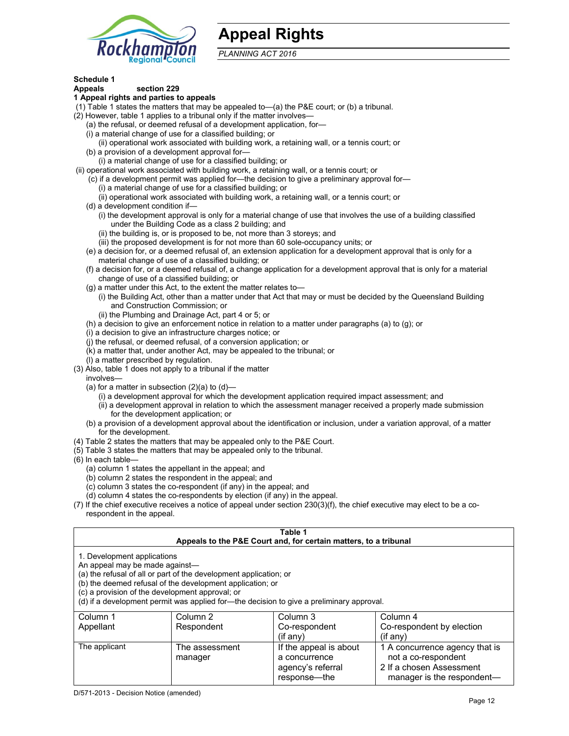

# **Appeal Rights**

*PLANNING ACT 2016*

# **Schedule 1**

#### **Appeals section 229 1 Appeal rights and parties to appeals**

- (1) Table 1 states the matters that may be appealed to—(a) the P&E court; or (b) a tribunal.
- (2) However, table 1 applies to a tribunal only if the matter involves—
	- (a) the refusal, or deemed refusal of a development application, for—
	- (i) a material change of use for a classified building; or
	- (ii) operational work associated with building work, a retaining wall, or a tennis court; or
	- (b) a provision of a development approval for—
	- (i) a material change of use for a classified building; or
- (ii) operational work associated with building work, a retaining wall, or a tennis court; or
	- (c) if a development permit was applied for—the decision to give a preliminary approval for—
		- (i) a material change of use for a classified building; or
		- (ii) operational work associated with building work, a retaining wall, or a tennis court; or
	- (d) a development condition if—
		- (i) the development approval is only for a material change of use that involves the use of a building classified under the Building Code as a class 2 building; and
		- (ii) the building is, or is proposed to be, not more than 3 storeys; and
		- (iii) the proposed development is for not more than 60 sole-occupancy units; or
	- (e) a decision for, or a deemed refusal of, an extension application for a development approval that is only for a material change of use of a classified building; or
	- (f) a decision for, or a deemed refusal of, a change application for a development approval that is only for a material change of use of a classified building; or
	- (g) a matter under this Act, to the extent the matter relates to—
		- (i) the Building Act, other than a matter under that Act that may or must be decided by the Queensland Building and Construction Commission; or
		- (ii) the Plumbing and Drainage Act, part 4 or 5; or
	- (h) a decision to give an enforcement notice in relation to a matter under paragraphs (a) to (g); or
	- (i) a decision to give an infrastructure charges notice; or
	- (j) the refusal, or deemed refusal, of a conversion application; or
	- (k) a matter that, under another Act, may be appealed to the tribunal; or
	- (l) a matter prescribed by regulation.
- (3) Also, table 1 does not apply to a tribunal if the matter
- involves—
	- (a) for a matter in subsection  $(2)(a)$  to  $(d)$ 
		- (i) a development approval for which the development application required impact assessment; and
		- (ii) a development approval in relation to which the assessment manager received a properly made submission for the development application; or
	- (b) a provision of a development approval about the identification or inclusion, under a variation approval, of a matter for the development.
- (4) Table 2 states the matters that may be appealed only to the P&E Court.
- (5) Table 3 states the matters that may be appealed only to the tribunal.
- (6) In each table—
	- (a) column 1 states the appellant in the appeal; and
	- (b) column 2 states the respondent in the appeal; and
	- (c) column 3 states the co-respondent (if any) in the appeal; and
	- (d) column 4 states the co-respondents by election (if any) in the appeal.
- (7) If the chief executive receives a notice of appeal under section 230(3)(f), the chief executive may elect to be a corespondent in the appeal.

| Table 1<br>Appeals to the P&E Court and, for certain matters, to a tribunal                                                                                                                                                                                                                                                                    |                           |                                         |                                                       |
|------------------------------------------------------------------------------------------------------------------------------------------------------------------------------------------------------------------------------------------------------------------------------------------------------------------------------------------------|---------------------------|-----------------------------------------|-------------------------------------------------------|
| 1. Development applications<br>An appeal may be made against-<br>(a) the refusal of all or part of the development application; or<br>(b) the deemed refusal of the development application; or<br>(c) a provision of the development approval; or<br>(d) if a development permit was applied for-the decision to give a preliminary approval. |                           |                                         |                                                       |
| Column 1                                                                                                                                                                                                                                                                                                                                       | Column 2                  | Column 3                                | Column 4                                              |
| Appellant                                                                                                                                                                                                                                                                                                                                      | Respondent                | Co-respondent<br>$(if$ any)             | Co-respondent by election<br>$($ if any $)$           |
| The applicant                                                                                                                                                                                                                                                                                                                                  | The assessment<br>manager | If the appeal is about<br>a concurrence | 1 A concurrence agency that is<br>not a co-respondent |

agency's referral response—the

2 If a chosen Assessment manager is the respondent-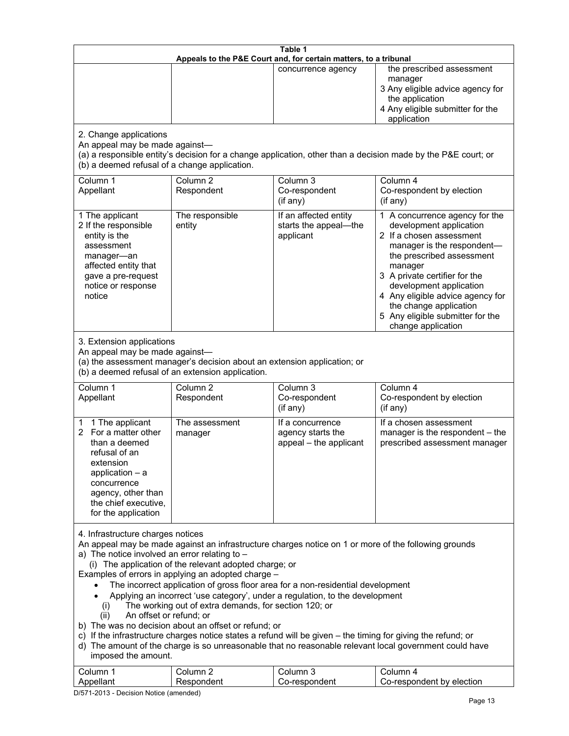| Table 1<br>Appeals to the P&E Court and, for certain matters, to a tribunal                                                                                                                                                                                                                                                                                                                                                                                                                                                                                                                                                                                                                                                                                                                                                                                                                                                                            |                                   |                                                                 |                                                                                                                                                                                                                                                                                                                                                 |
|--------------------------------------------------------------------------------------------------------------------------------------------------------------------------------------------------------------------------------------------------------------------------------------------------------------------------------------------------------------------------------------------------------------------------------------------------------------------------------------------------------------------------------------------------------------------------------------------------------------------------------------------------------------------------------------------------------------------------------------------------------------------------------------------------------------------------------------------------------------------------------------------------------------------------------------------------------|-----------------------------------|-----------------------------------------------------------------|-------------------------------------------------------------------------------------------------------------------------------------------------------------------------------------------------------------------------------------------------------------------------------------------------------------------------------------------------|
|                                                                                                                                                                                                                                                                                                                                                                                                                                                                                                                                                                                                                                                                                                                                                                                                                                                                                                                                                        |                                   | concurrence agency                                              | the prescribed assessment<br>manager<br>3 Any eligible advice agency for<br>the application<br>4 Any eligible submitter for the<br>application                                                                                                                                                                                                  |
| 2. Change applications<br>An appeal may be made against-<br>(b) a deemed refusal of a change application.                                                                                                                                                                                                                                                                                                                                                                                                                                                                                                                                                                                                                                                                                                                                                                                                                                              |                                   |                                                                 | (a) a responsible entity's decision for a change application, other than a decision made by the P&E court; or                                                                                                                                                                                                                                   |
| Column 1<br>Appellant                                                                                                                                                                                                                                                                                                                                                                                                                                                                                                                                                                                                                                                                                                                                                                                                                                                                                                                                  | Column <sub>2</sub><br>Respondent | Column 3<br>Co-respondent<br>(if any)                           | Column 4<br>Co-respondent by election<br>(if any)                                                                                                                                                                                                                                                                                               |
| 1 The applicant<br>2 If the responsible<br>entity is the<br>assessment<br>manager-an<br>affected entity that<br>gave a pre-request<br>notice or response<br>notice                                                                                                                                                                                                                                                                                                                                                                                                                                                                                                                                                                                                                                                                                                                                                                                     | The responsible<br>entity         | If an affected entity<br>starts the appeal-the<br>applicant     | 1 A concurrence agency for the<br>development application<br>2 If a chosen assessment<br>manager is the respondent-<br>the prescribed assessment<br>manager<br>3 A private certifier for the<br>development application<br>4 Any eligible advice agency for<br>the change application<br>5 Any eligible submitter for the<br>change application |
| 3. Extension applications<br>An appeal may be made against-<br>(a) the assessment manager's decision about an extension application; or<br>(b) a deemed refusal of an extension application.                                                                                                                                                                                                                                                                                                                                                                                                                                                                                                                                                                                                                                                                                                                                                           |                                   |                                                                 |                                                                                                                                                                                                                                                                                                                                                 |
| Column 1<br>Appellant                                                                                                                                                                                                                                                                                                                                                                                                                                                                                                                                                                                                                                                                                                                                                                                                                                                                                                                                  | Column <sub>2</sub><br>Respondent | Column 3<br>Co-respondent<br>(if any)                           | Column 4<br>Co-respondent by election<br>(if any)                                                                                                                                                                                                                                                                                               |
| 1 The applicant<br>1<br>For a matter other<br>2.<br>than a deemed<br>refusal of an<br>extension<br>application $-$ a<br>concurrence<br>agency, other than<br>the chief executive,<br>for the application                                                                                                                                                                                                                                                                                                                                                                                                                                                                                                                                                                                                                                                                                                                                               | The assessment<br>manager         | If a concurrence<br>agency starts the<br>appeal - the applicant | If a chosen assessment<br>manager is the respondent - the<br>prescribed assessment manager                                                                                                                                                                                                                                                      |
| 4. Infrastructure charges notices<br>An appeal may be made against an infrastructure charges notice on 1 or more of the following grounds<br>a) The notice involved an error relating to $-$<br>(i) The application of the relevant adopted charge; or<br>Examples of errors in applying an adopted charge -<br>The incorrect application of gross floor area for a non-residential development<br>Applying an incorrect 'use category', under a regulation, to the development<br>The working out of extra demands, for section 120; or<br>(i)<br>An offset or refund; or<br>(ii)<br>b) The was no decision about an offset or refund; or<br>c) If the infrastructure charges notice states a refund will be given - the timing for giving the refund; or<br>d) The amount of the charge is so unreasonable that no reasonable relevant local government could have<br>imposed the amount.<br>Column <sub>2</sub><br>Column 3<br>Column 1<br>Column 4 |                                   |                                                                 |                                                                                                                                                                                                                                                                                                                                                 |
| Appellant                                                                                                                                                                                                                                                                                                                                                                                                                                                                                                                                                                                                                                                                                                                                                                                                                                                                                                                                              | Respondent                        | Co-respondent                                                   | Co-respondent by election                                                                                                                                                                                                                                                                                                                       |

D/571-2013 - Decision Notice (amended)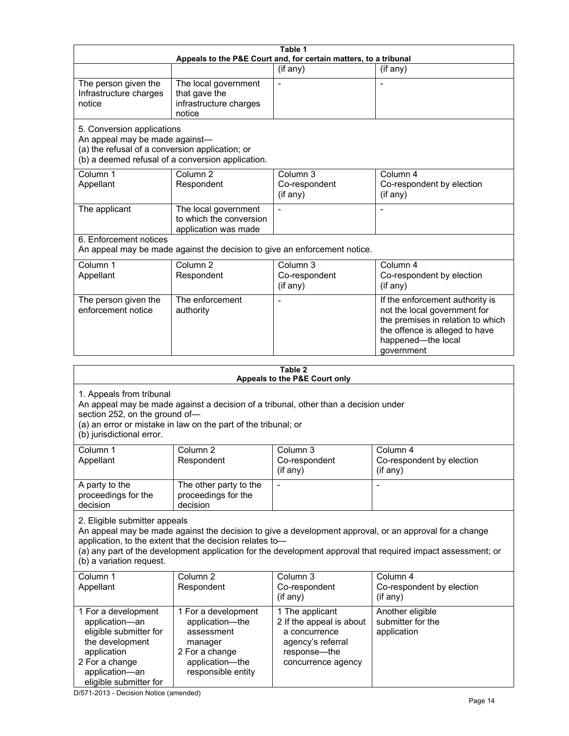| Table 1<br>Appeals to the P&E Court and, for certain matters, to a tribunal                                                                                                                                                                      |                                                                                                                            |                                                                                                                         |                                                                                                                                                                                                                        |
|--------------------------------------------------------------------------------------------------------------------------------------------------------------------------------------------------------------------------------------------------|----------------------------------------------------------------------------------------------------------------------------|-------------------------------------------------------------------------------------------------------------------------|------------------------------------------------------------------------------------------------------------------------------------------------------------------------------------------------------------------------|
|                                                                                                                                                                                                                                                  |                                                                                                                            | (if any)                                                                                                                | (if any)                                                                                                                                                                                                               |
| The person given the<br>Infrastructure charges<br>notice                                                                                                                                                                                         | The local government<br>that gave the<br>infrastructure charges<br>notice                                                  | $\blacksquare$                                                                                                          | $\overline{\phantom{a}}$                                                                                                                                                                                               |
| 5. Conversion applications<br>An appeal may be made against-<br>(a) the refusal of a conversion application; or                                                                                                                                  | (b) a deemed refusal of a conversion application.                                                                          |                                                                                                                         |                                                                                                                                                                                                                        |
| Column 1<br>Appellant                                                                                                                                                                                                                            | Column <sub>2</sub><br>Respondent                                                                                          | Column <sub>3</sub><br>Co-respondent<br>(if any)                                                                        | Column 4<br>Co-respondent by election<br>(if any)                                                                                                                                                                      |
| The applicant                                                                                                                                                                                                                                    | The local government<br>to which the conversion<br>application was made                                                    |                                                                                                                         |                                                                                                                                                                                                                        |
| 6. Enforcement notices                                                                                                                                                                                                                           | An appeal may be made against the decision to give an enforcement notice.                                                  |                                                                                                                         |                                                                                                                                                                                                                        |
| Column 1<br>Appellant                                                                                                                                                                                                                            | Column <sub>2</sub><br>Respondent                                                                                          | Column 3<br>Co-respondent<br>(if any)                                                                                   | Column 4<br>Co-respondent by election<br>(if any)                                                                                                                                                                      |
| The person given the<br>enforcement notice                                                                                                                                                                                                       | The enforcement<br>authority                                                                                               |                                                                                                                         | If the enforcement authority is<br>not the local government for<br>the premises in relation to which<br>the offence is alleged to have<br>happened-the local<br>government                                             |
|                                                                                                                                                                                                                                                  |                                                                                                                            | Table 2                                                                                                                 |                                                                                                                                                                                                                        |
|                                                                                                                                                                                                                                                  |                                                                                                                            | Appeals to the P&E Court only                                                                                           |                                                                                                                                                                                                                        |
| 1. Appeals from tribunal<br>An appeal may be made against a decision of a tribunal, other than a decision under<br>section 252, on the ground of-<br>(a) an error or mistake in law on the part of the tribunal; or<br>(b) jurisdictional error. |                                                                                                                            |                                                                                                                         |                                                                                                                                                                                                                        |
| Column 1<br>Appellant                                                                                                                                                                                                                            | Column 2<br>Respondent                                                                                                     | Column 3<br>Co-respondent<br>(if any)                                                                                   | Column 4<br>Co-respondent by election<br>(if any)                                                                                                                                                                      |
| A party to the<br>proceedings for the<br>decision                                                                                                                                                                                                | The other party to the<br>proceedings for the<br>decision                                                                  |                                                                                                                         |                                                                                                                                                                                                                        |
| 2. Eligible submitter appeals<br>(b) a variation request.                                                                                                                                                                                        | application, to the extent that the decision relates to-                                                                   |                                                                                                                         | An appeal may be made against the decision to give a development approval, or an approval for a change<br>(a) any part of the development application for the development approval that required impact assessment; or |
| Column 1<br>Appellant                                                                                                                                                                                                                            | Column <sub>2</sub><br>Respondent                                                                                          | Column 3<br>Co-respondent<br>(if any)                                                                                   | Column 4<br>Co-respondent by election<br>(if any)                                                                                                                                                                      |
| 1 For a development<br>application-an<br>eligible submitter for<br>the development<br>application<br>2 For a change<br>application-an<br>eligible submitter for                                                                                  | 1 For a development<br>application-the<br>assessment<br>manager<br>2 For a change<br>application-the<br>responsible entity | 1 The applicant<br>2 If the appeal is about<br>a concurrence<br>agency's referral<br>response-the<br>concurrence agency | Another eligible<br>submitter for the<br>application                                                                                                                                                                   |

D/571-2013 - Decision Notice (amended)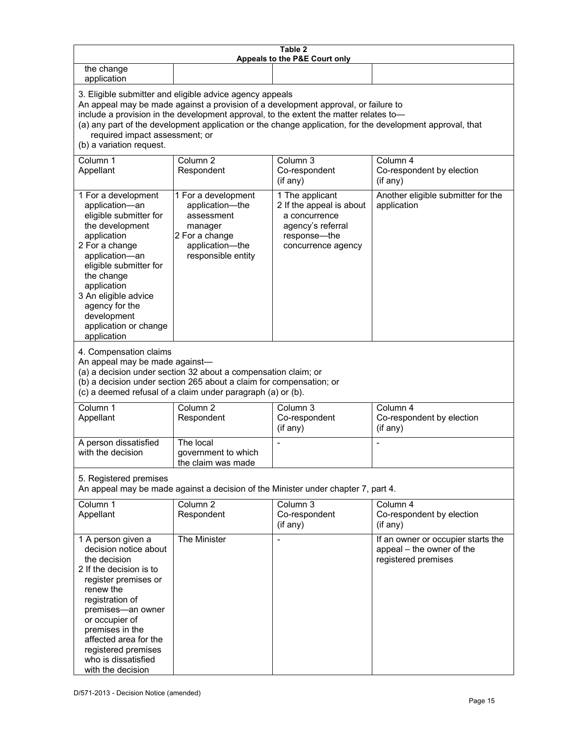| Table 2<br>Appeals to the P&E Court only                                                                                                                                                                                                                                                                                                                                                                           |                                                                                                                            |                                                                                                                         |                                                                                        |
|--------------------------------------------------------------------------------------------------------------------------------------------------------------------------------------------------------------------------------------------------------------------------------------------------------------------------------------------------------------------------------------------------------------------|----------------------------------------------------------------------------------------------------------------------------|-------------------------------------------------------------------------------------------------------------------------|----------------------------------------------------------------------------------------|
| the change<br>application                                                                                                                                                                                                                                                                                                                                                                                          |                                                                                                                            |                                                                                                                         |                                                                                        |
| 3. Eligible submitter and eligible advice agency appeals<br>An appeal may be made against a provision of a development approval, or failure to<br>include a provision in the development approval, to the extent the matter relates to-<br>(a) any part of the development application or the change application, for the development approval, that<br>required impact assessment; or<br>(b) a variation request. |                                                                                                                            |                                                                                                                         |                                                                                        |
| Column 1<br>Appellant                                                                                                                                                                                                                                                                                                                                                                                              | Column <sub>2</sub><br>Respondent                                                                                          | Column 3<br>Co-respondent<br>(if any)                                                                                   | Column 4<br>Co-respondent by election<br>(if any)                                      |
| 1 For a development<br>application-an<br>eligible submitter for<br>the development<br>application<br>2 For a change<br>application-an<br>eligible submitter for<br>the change<br>application<br>3 An eligible advice<br>agency for the<br>development<br>application or change<br>application                                                                                                                      | 1 For a development<br>application-the<br>assessment<br>manager<br>2 For a change<br>application-the<br>responsible entity | 1 The applicant<br>2 If the appeal is about<br>a concurrence<br>agency's referral<br>response-the<br>concurrence agency | Another eligible submitter for the<br>application                                      |
| 4. Compensation claims<br>An appeal may be made against-<br>(a) a decision under section 32 about a compensation claim; or<br>(b) a decision under section 265 about a claim for compensation; or<br>(c) a deemed refusal of a claim under paragraph (a) or (b).                                                                                                                                                   |                                                                                                                            |                                                                                                                         |                                                                                        |
| Column 1<br>Appellant                                                                                                                                                                                                                                                                                                                                                                                              | Column <sub>2</sub><br>Respondent                                                                                          | Column 3<br>Co-respondent<br>(if any)                                                                                   | Column 4<br>Co-respondent by election<br>(if any)                                      |
| A person dissatisfied<br>with the decision                                                                                                                                                                                                                                                                                                                                                                         | The local<br>government to which<br>the claim was made                                                                     |                                                                                                                         |                                                                                        |
| 5. Registered premises<br>An appeal may be made against a decision of the Minister under chapter 7, part 4.                                                                                                                                                                                                                                                                                                        |                                                                                                                            |                                                                                                                         |                                                                                        |
| Column 1<br>Appellant                                                                                                                                                                                                                                                                                                                                                                                              | Column <sub>2</sub><br>Respondent                                                                                          | Column 3<br>Co-respondent<br>(if any)                                                                                   | Column 4<br>Co-respondent by election<br>(if any)                                      |
| 1 A person given a<br>decision notice about<br>the decision<br>2 If the decision is to<br>register premises or<br>renew the<br>registration of<br>premises-an owner<br>or occupier of<br>premises in the<br>affected area for the<br>registered premises<br>who is dissatisfied<br>with the decision                                                                                                               | The Minister                                                                                                               | $\blacksquare$                                                                                                          | If an owner or occupier starts the<br>appeal - the owner of the<br>registered premises |